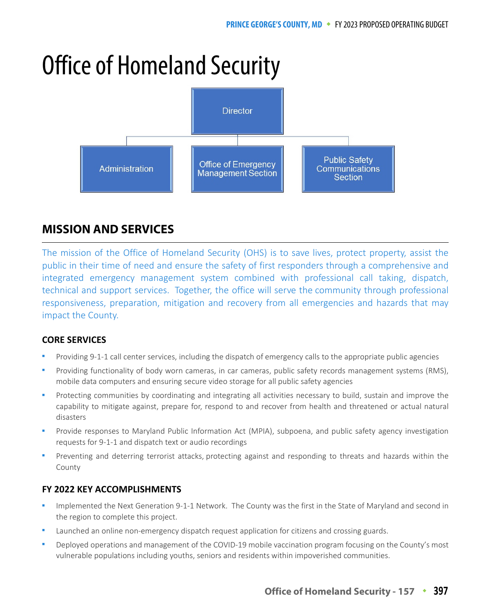# Office of Homeland Security



# **MISSION AND SERVICES**

The mission of the Office of Homeland Security (OHS) is to save lives, protect property, assist the public in their time of need and ensure the safety of first responders through a comprehensive and integrated emergency management system combined with professional call taking, dispatch, technical and support services. Together, the office will serve the community through professional responsiveness, preparation, mitigation and recovery from all emergencies and hazards that may impact the County.

### **CORE SERVICES**

- Providing 9-1-1 call center services, including the dispatch of emergency calls to the appropriate public agencies
- Providing functionality of body worn cameras, in car cameras, public safety records management systems (RMS), mobile data computers and ensuring secure video storage for all public safety agencies
- Protecting communities by coordinating and integrating all activities necessary to build, sustain and improve the capability to mitigate against, prepare for, respond to and recover from health and threatened or actual natural disasters
- Provide responses to Maryland Public Information Act (MPIA), subpoena, and public safety agency investigation requests for 9-1-1 and dispatch text or audio recordings
- Preventing and deterring terrorist attacks, protecting against and responding to threats and hazards within the County

### **FY 2022 KEY ACCOMPLISHMENTS**

- Implemented the Next Generation 9-1-1 Network. The County was the first in the State of Maryland and second in the region to complete this project.
- Launched an online non-emergency dispatch request application for citizens and crossing guards.
- Deployed operations and management of the COVID-19 mobile vaccination program focusing on the County's most vulnerable populations including youths, seniors and residents within impoverished communities.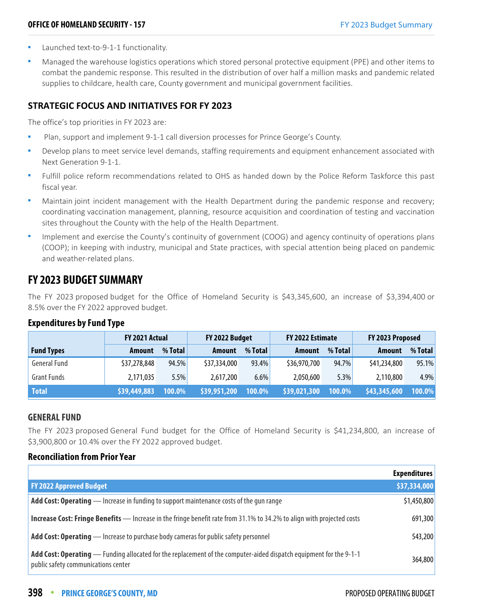- Launched text-to-9-1-1 functionality.
- Managed the warehouse logistics operations which stored personal protective equipment (PPE) and other items to combat the pandemic response. This resulted in the distribution of over half a million masks and pandemic related supplies to childcare, health care, County government and municipal government facilities.

#### **STRATEGIC FOCUS AND INITIATIVES FOR FY 2023**

The office's top priorities in FY 2023 are:

- Plan, support and implement 9-1-1 call diversion processes for Prince George's County.
- Develop plans to meet service level demands, staffing requirements and equipment enhancement associated with Next Generation 9-1-1.
- Fulfill police reform recommendations related to OHS as handed down by the Police Reform Taskforce this past fiscal year.
- Maintain joint incident management with the Health Department during the pandemic response and recovery; coordinating vaccination management, planning, resource acquisition and coordination of testing and vaccination sites throughout the County with the help of the Health Department.
- Implement and exercise the County's continuity of government (COOG) and agency continuity of operations plans (COOP); in keeping with industry, municipal and State practices, with special attention being placed on pandemic and weather-related plans.

# **FY 2023 BUDGET SUMMARY**

The FY 2023 proposed budget for the Office of Homeland Security is \$43,345,600, an increase of \$3,394,400 or 8.5% over the FY 2022 approved budget.

#### **Expenditures by Fund Type**

|                     | FY 2021 Actual |         | FY 2022 Budget |         | FY 2022 Estimate |         | FY 2023 Proposed |         |
|---------------------|----------------|---------|----------------|---------|------------------|---------|------------------|---------|
| <b>Fund Types</b>   | <b>Amount</b>  | % Total | <b>Amount</b>  | % Total | <b>Amount</b>    | % Total | <b>Amount</b>    | % Total |
| <b>General Fund</b> | \$37,278,848   | 94.5%   | \$37,334,000   | 93.4%   | \$36,970,700     | 94.7%   | \$41,234,800     | 95.1%   |
| <b>Grant Funds</b>  | 2,171,035      | 5.5%    | 2,617,200      | 6.6%    | 2,050,600        | 5.3%    | 2,110,800        | 4.9%    |
| <b>Total</b>        | \$39,449,883   | 100.0%  | \$39,951,200   | 100.0%  | \$39,021,300     | 100.0%  | \$43,345,600     | 100.0%  |

#### **GENERAL FUND**

The FY 2023 proposed General Fund budget for the Office of Homeland Security is \$41,234,800, an increase of \$3,900,800 or 10.4% over the FY 2022 approved budget.

#### **Reconciliation from Prior Year**

|                                                                                                                                                           | <b>Expenditures</b> |
|-----------------------------------------------------------------------------------------------------------------------------------------------------------|---------------------|
| <b>FY 2022 Approved Budget</b>                                                                                                                            | \$37,334,000        |
| Add Cost: Operating - Increase in funding to support maintenance costs of the gun range                                                                   | \$1,450,800         |
| Increase Cost: Fringe Benefits — Increase in the fringe benefit rate from 31.1% to 34.2% to align with projected costs                                    | 691,300             |
| <b>Add Cost: Operating</b> — Increase to purchase body cameras for public safety personnel                                                                | 543,200             |
| Add Cost: Operating — Funding allocated for the replacement of the computer-aided dispatch equipment for the 9-1-1<br>public safety communications center | 364,800             |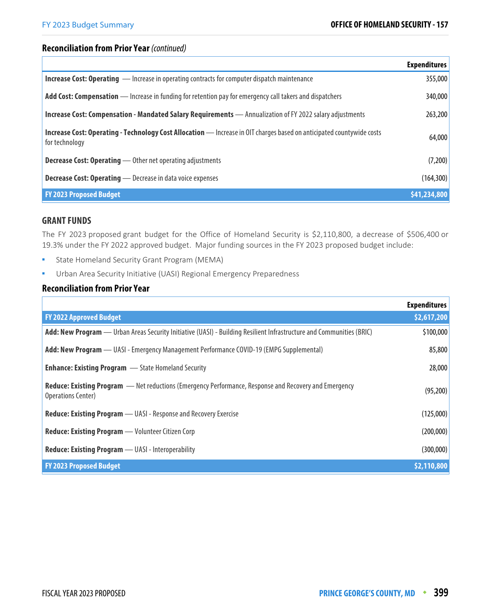#### **Reconciliation from Prior Year** (continued)

|                                                                                                                                                | <b>Expenditures</b> |
|------------------------------------------------------------------------------------------------------------------------------------------------|---------------------|
| <b>Increase Cost: Operating</b> — Increase in operating contracts for computer dispatch maintenance                                            | 355,000             |
| Add Cost: Compensation — Increase in funding for retention pay for emergency call takers and dispatchers                                       | 340,000             |
| <b>Increase Cost: Compensation - Mandated Salary Requirements</b> — Annualization of FY 2022 salary adjustments                                | 263,200             |
| <b>Increase Cost: Operating - Technology Cost Allocation</b> - Increase in OIT charges based on anticipated countywide costs<br>for technology | 64,000              |
| <b>Decrease Cost: Operating</b> - Other net operating adjustments                                                                              | (7,200)             |
| <b>Decrease Cost: Operating</b> - Decrease in data voice expenses                                                                              | (164, 300)          |
| <b>FY 2023 Proposed Budget</b>                                                                                                                 | \$41,234,800        |

#### **GRANT FUNDS**

The FY 2023 proposed grant budget for the Office of Homeland Security is \$2,110,800, a decrease of \$506,400 or 19.3% under the FY 2022 approved budget. Major funding sources in the FY 2023 proposed budget include:

- **State Homeland Security Grant Program (MEMA)**
- **•** Urban Area Security Initiative (UASI) Regional Emergency Preparedness

#### **Reconciliation from Prior Year**

|                                                                                                                                           | <b>Expenditures</b> |
|-------------------------------------------------------------------------------------------------------------------------------------------|---------------------|
| <b>FY 2022 Approved Budget</b>                                                                                                            | \$2,617,200         |
| Add: New Program — Urban Areas Security Initiative (UASI) - Building Resilient Infrastructure and Communities (BRIC)                      | \$100,000           |
| Add: New Program - UASI - Emergency Management Performance COVID-19 (EMPG Supplemental)                                                   | 85,800              |
| <b>Enhance: Existing Program</b> - State Homeland Security                                                                                | 28,000              |
| <b>Reduce: Existing Program</b> — Net reductions (Emergency Performance, Response and Recovery and Emergency<br><b>Operations Center)</b> | (95, 200)           |
| <b>Reduce: Existing Program</b> — UASI - Response and Recovery Exercise                                                                   | (125,000)           |
| <b>Reduce: Existing Program</b> — Volunteer Citizen Corp                                                                                  | (200,000)           |
| Reduce: Existing Program - UASI - Interoperability                                                                                        | (300,000)           |
| <b>FY 2023 Proposed Budget</b>                                                                                                            | \$2,110,800         |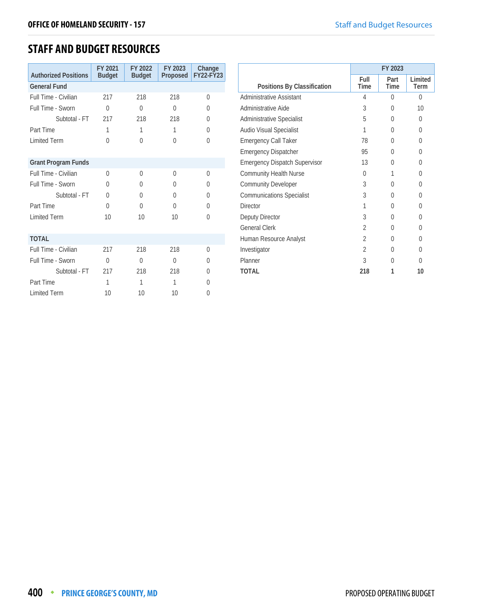# **STAFF AND BUDGET RESOURCES**

| <b>Authorized Positions</b> | FY 2021<br><b>Budget</b> | FY 2022<br><b>Budget</b> | FY 2023<br>Proposed | Change<br>FY22-FY23 |
|-----------------------------|--------------------------|--------------------------|---------------------|---------------------|
| <b>General Fund</b>         |                          |                          |                     |                     |
| Full Time - Civilian        | 217                      | 218                      | 218                 | $\Omega$            |
| Full Time - Sworn           | $\Omega$                 | $\theta$                 | $\Omega$            | 0                   |
| Subtotal - FT               | 217                      | 218                      | 218                 | 0                   |
| Part Time                   | 1                        | 1                        | 1                   | 0                   |
| <b>Limited Term</b>         | $\Omega$                 | $\Omega$                 | $\bigcap$           | $\Omega$            |
|                             |                          |                          |                     |                     |
| <b>Grant Program Funds</b>  |                          |                          |                     |                     |
| Full Time - Civilian        | $\Omega$                 | $\Omega$                 | $\Omega$            | $\Omega$            |
| Full Time - Sworn           | $\Omega$                 | $\Omega$                 | <sup>0</sup>        | 0                   |
| Subtotal - FT               | $\Omega$                 | $\Omega$                 | $\Omega$            | 0                   |
| Part Time                   | $\Omega$                 | $\Omega$                 | $\Omega$            | 0                   |
| <b>Limited Term</b>         | 10                       | 10                       | 10                  | $\Omega$            |
|                             |                          |                          |                     |                     |
| <b>TOTAL</b>                |                          |                          |                     |                     |
| Full Time - Civilian        | 217                      | 218                      | 218                 | $\Omega$            |
| Full Time - Sworn           | $\Omega$                 | $\Omega$                 | $\Omega$            | 0                   |
| Subtotal - FT               | 217                      | 218                      | 218                 | 0                   |
| Part Time                   | 1                        | 1                        | 1                   | 0                   |
| <b>Limited Term</b>         | 10                       | 10                       | 10                  | 0                   |

|                                      |                | FY 2023      |                 |
|--------------------------------------|----------------|--------------|-----------------|
| Positions By Classification          | Full<br>Time   | Part<br>Time | Limited<br>Term |
| Administrative Assistant             | 4              | 0            | 0               |
| Administrative Aide                  | 3              | 0            | 10              |
| <b>Administrative Specialist</b>     | 5              | 0            | 0               |
| Audio Visual Specialist              | 1              | U            | 0               |
| <b>Emergency Call Taker</b>          | 78             | 0            | 0               |
| <b>Emergency Dispatcher</b>          | 95             | U            | 0               |
| <b>Emergency Dispatch Supervisor</b> | 13             | U            | 0               |
| <b>Community Health Nurse</b>        | <sup>0</sup>   | 1            | 0               |
| <b>Community Developer</b>           | 3              | U            | 0               |
| <b>Communications Specialist</b>     | 3              | 0            | 0               |
| <b>Director</b>                      | 1              | 0            | 0               |
| Deputy Director                      | 3              | 0            | 0               |
| <b>General Clerk</b>                 | $\mathfrak{D}$ | 0            | 0               |
| Human Resource Analyst               | $\mathfrak{D}$ | U            | 0               |
| Investigator                         | $\mathfrak{D}$ | U            | 0               |
| Planner                              | 3              | U            | 0               |
| <b>TOTAL</b>                         | 218            | 1            | 10              |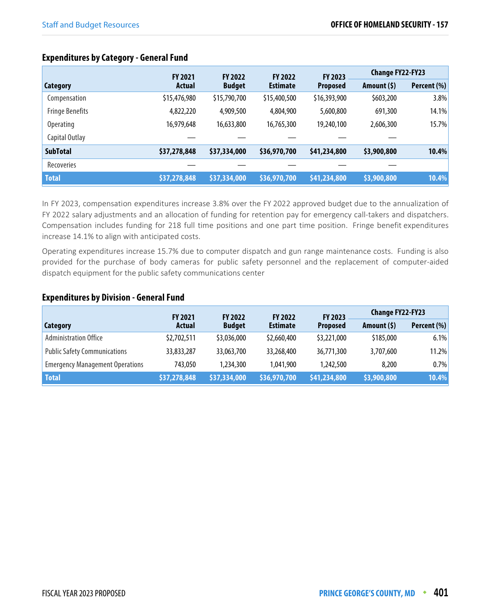### **Expenditures by Category - General Fund**

|                        | <b>FY 2021</b> | <b>FY 2022</b><br><b>FY 2022</b> |                 | <b>FY 2023</b>  | <b>Change FY22-FY23</b> |             |
|------------------------|----------------|----------------------------------|-----------------|-----------------|-------------------------|-------------|
| Category               | Actual         | <b>Budget</b>                    | <b>Estimate</b> | <b>Proposed</b> | Amount $(5)$            | Percent (%) |
| Compensation           | \$15,476,980   | \$15,790,700                     | \$15,400,500    | \$16,393,900    | \$603,200               | 3.8%        |
| <b>Fringe Benefits</b> | 4,822,220      | 4,909,500                        | 4,804,900       | 5,600,800       | 691,300                 | 14.1%       |
| <b>Operating</b>       | 16,979,648     | 16,633,800                       | 16,765,300      | 19,240,100      | 2,606,300               | 15.7%       |
| Capital Outlay         |                |                                  |                 |                 |                         |             |
| <b>SubTotal</b>        | \$37,278,848   | \$37,334,000                     | \$36,970,700    | \$41,234,800    | \$3,900,800             | 10.4%       |
| <b>Recoveries</b>      |                |                                  |                 |                 |                         |             |
| <b>Total</b>           | \$37,278,848   | \$37,334,000                     | \$36,970,700    | \$41,234,800    | \$3,900,800             | 10.4%       |

In FY 2023, compensation expenditures increase 3.8% over the FY 2022 approved budget due to the annualization of FY 2022 salary adjustments and an allocation of funding for retention pay for emergency call-takers and dispatchers. Compensation includes funding for 218 full time positions and one part time position. Fringe benefit expenditures increase 14.1% to align with anticipated costs.

Operating expenditures increase 15.7% due to computer dispatch and gun range maintenance costs. Funding is also provided for the purchase of body cameras for public safety personnel and the replacement of computer-aided dispatch equipment for the public safety communications center

#### **Expenditures by Division - General Fund**

|                                        | <b>FY 2021</b> | <b>FY 2022</b> | FY 2023<br><b>FY 2022</b> |                 | <b>Change FY22-FY23</b> |             |
|----------------------------------------|----------------|----------------|---------------------------|-----------------|-------------------------|-------------|
| <b>Category</b>                        | <b>Actual</b>  | <b>Budget</b>  | <b>Estimate</b>           | <b>Proposed</b> | Amount $(5)$            | Percent (%) |
| <b>Administration Office</b>           | \$2,702,511    | \$3,036,000    | \$2,660,400               | \$3,221,000     | \$185,000               | 6.1%        |
| <b>Public Safety Communications</b>    | 33,833,287     | 33,063,700     | 33,268,400                | 36,771,300      | 3,707,600               | 11.2%       |
| <b>Emergency Management Operations</b> | 743.050        | 1,234,300      | 1.041.900                 | 1,242,500       | 8,200                   | $0.7\%$     |
| <b>Total</b>                           | \$37,278,848   | \$37,334,000   | \$36,970,700              | \$41,234,800    | \$3,900,800             | 10.4%       |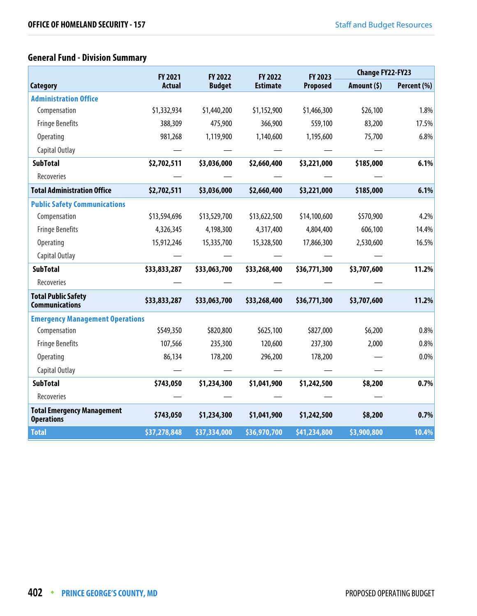# **General Fund - Division Summary**

|                                                        | <b>FY 2021</b> | <b>FY 2022</b> | FY 2022         | FY 2023         | <b>Change FY22-FY23</b> |             |
|--------------------------------------------------------|----------------|----------------|-----------------|-----------------|-------------------------|-------------|
| <b>Category</b>                                        | <b>Actual</b>  | <b>Budget</b>  | <b>Estimate</b> | <b>Proposed</b> | Amount $(5)$            | Percent (%) |
| <b>Administration Office</b>                           |                |                |                 |                 |                         |             |
| Compensation                                           | \$1,332,934    | \$1,440,200    | \$1,152,900     | \$1,466,300     | \$26,100                | 1.8%        |
| <b>Fringe Benefits</b>                                 | 388,309        | 475,900        | 366,900         | 559,100         | 83,200                  | 17.5%       |
| Operating                                              | 981,268        | 1,119,900      | 1,140,600       | 1,195,600       | 75,700                  | 6.8%        |
| Capital Outlay                                         |                |                |                 |                 |                         |             |
| <b>SubTotal</b>                                        | \$2,702,511    | \$3,036,000    | \$2,660,400     | \$3,221,000     | \$185,000               | 6.1%        |
| Recoveries                                             |                |                |                 |                 |                         |             |
| <b>Total Administration Office</b>                     | \$2,702,511    | \$3,036,000    | \$2,660,400     | \$3,221,000     | \$185,000               | 6.1%        |
| <b>Public Safety Communications</b>                    |                |                |                 |                 |                         |             |
| Compensation                                           | \$13,594,696   | \$13,529,700   | \$13,622,500    | \$14,100,600    | \$570,900               | 4.2%        |
| <b>Fringe Benefits</b>                                 | 4,326,345      | 4,198,300      | 4,317,400       | 4,804,400       | 606,100                 | 14.4%       |
| Operating                                              | 15,912,246     | 15,335,700     | 15,328,500      | 17,866,300      | 2,530,600               | 16.5%       |
| Capital Outlay                                         |                |                |                 |                 |                         |             |
| <b>SubTotal</b>                                        | \$33,833,287   | \$33,063,700   | \$33,268,400    | \$36,771,300    | \$3,707,600             | 11.2%       |
| Recoveries                                             |                |                |                 |                 |                         |             |
| <b>Total Public Safety</b><br><b>Communications</b>    | \$33,833,287   | \$33,063,700   | \$33,268,400    | \$36,771,300    | \$3,707,600             | 11.2%       |
| <b>Emergency Management Operations</b>                 |                |                |                 |                 |                         |             |
| Compensation                                           | \$549,350      | \$820,800      | \$625,100       | \$827,000       | \$6,200                 | 0.8%        |
| <b>Fringe Benefits</b>                                 | 107,566        | 235,300        | 120,600         | 237,300         | 2,000                   | 0.8%        |
| Operating                                              | 86,134         | 178,200        | 296,200         | 178,200         |                         | 0.0%        |
| Capital Outlay                                         |                |                |                 |                 |                         |             |
| <b>SubTotal</b>                                        | \$743,050      | \$1,234,300    | \$1,041,900     | \$1,242,500     | \$8,200                 | 0.7%        |
| Recoveries                                             |                |                |                 |                 |                         |             |
| <b>Total Emergency Management</b><br><b>Operations</b> | \$743,050      | \$1,234,300    | \$1,041,900     | \$1,242,500     | \$8,200                 | 0.7%        |
| <b>Total</b>                                           | \$37,278,848   | \$37,334,000   | \$36,970,700    | \$41,234,800    | \$3,900,800             | 10.4%       |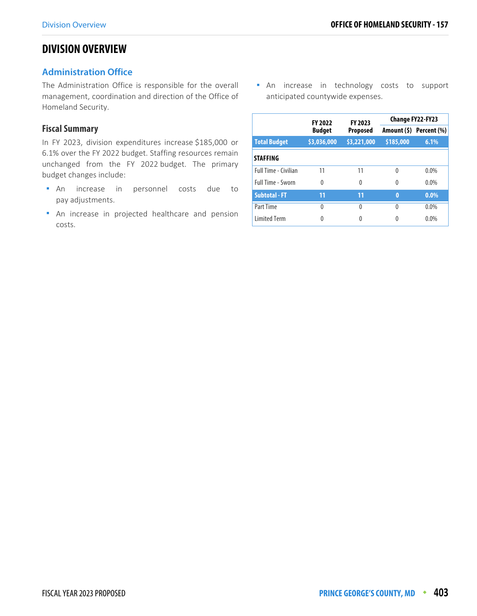## **DIVISION OVERVIEW**

#### **Administration Office**

The Administration Office is responsible for the overall management, coordination and direction of the Office of Homeland Security.

#### **Fiscal Summary**

In FY 2023, division expenditures increase \$185,000 or 6.1% over the FY 2022 budget. Staffing resources remain unchanged from the FY 2022 budget. The primary budget changes include:

- An increase in personnel costs due to pay adjustments.
- An increase in projected healthcare and pension costs.

**An** increase in technology costs to support anticipated countywide expenses.

|                             | <b>FY 2022</b> | FY 2023         | <b>Change FY22-FY23</b> |                         |  |
|-----------------------------|----------------|-----------------|-------------------------|-------------------------|--|
|                             | <b>Budget</b>  | <b>Proposed</b> |                         | Amount (\$) Percent (%) |  |
| <b>Total Budget</b>         | \$3,036,000    | \$3,221,000     | \$185,000               | 6.1%                    |  |
| <b>STAFFING</b>             |                |                 |                         |                         |  |
| <b>Full Time - Civilian</b> | 11             | 11              | 0                       | $0.0\%$                 |  |
| <b>Full Time - Sworn</b>    | 0              | 0               | $\Omega$                | $0.0\%$                 |  |
| <b>Subtotal - FT</b>        | 11             | 11              | $\bf{0}$                | $0.0\%$                 |  |
| Part Time                   | 0              | U               | $\Omega$                | 0.0%                    |  |
| <b>Limited Term</b>         |                |                 |                         | 0.0%                    |  |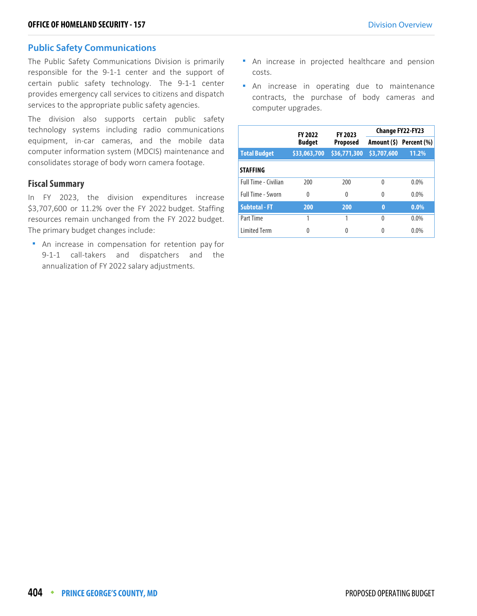#### **Public Safety Communications**

The Public Safety Communications Division is primarily responsible for the 9-1-1 center and the support of certain public safety technology. The 9-1-1 center provides emergency call services to citizens and dispatch services to the appropriate public safety agencies.

The division also supports certain public safety technology systems including radio communications equipment, in-car cameras, and the mobile data computer information system (MDCIS) maintenance and consolidates storage of body worn camera footage.

#### **Fiscal Summary**

In FY 2023, the division expenditures increase \$3,707,600 or 11.2% over the FY 2022 budget. Staffing resources remain unchanged from the FY 2022 budget. The primary budget changes include:

**An increase in compensation for retention pay for** 9-1-1 call-takers and dispatchers and the annualization of FY 2022 salary adjustments.

- An increase in projected healthcare and pension costs.
- **An** increase in operating due to maintenance contracts, the purchase of body cameras and computer upgrades.

|                      | <b>FY 2022</b> | FY 2023         | <b>Change FY22-FY23</b> |                         |  |
|----------------------|----------------|-----------------|-------------------------|-------------------------|--|
|                      | <b>Budget</b>  | <b>Proposed</b> |                         | Amount (\$) Percent (%) |  |
| <b>Total Budget</b>  | \$33,063,700   | \$36,771,300    | \$3,707,600             | 11.2%                   |  |
| <b>STAFFING</b>      |                |                 |                         |                         |  |
| Full Time - Civilian | 200            | 200             | $\Omega$                | $0.0\%$                 |  |
| Full Time - Sworn    | 0              | 0               | $\Omega$                | $0.0\%$                 |  |
| <b>Subtotal - FT</b> | 200            | 200             | $\bf{0}$                | $0.0\%$                 |  |
| Part Time            |                |                 | $\Omega$                | $0.0\%$                 |  |
| <b>Limited Term</b>  | 0              | 0               | 0                       | $0.0\%$                 |  |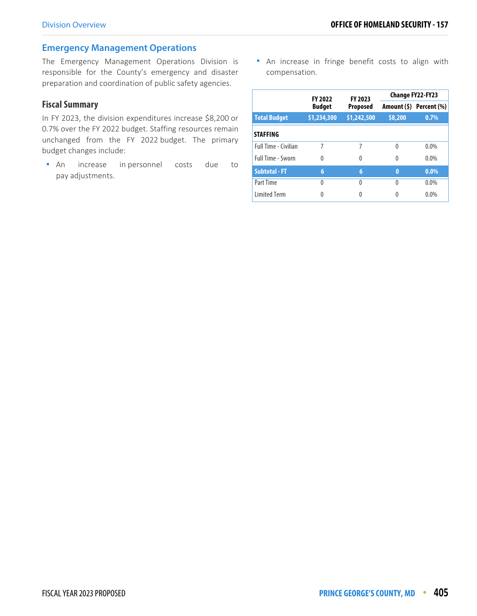#### **Emergency Management Operations**

The Emergency Management Operations Division is responsible for the County's emergency and disaster preparation and coordination of public safety agencies.

#### **Fiscal Summary**

In FY 2023, the division expenditures increase \$8,200 or 0.7% over the FY 2022 budget. Staffing resources remain unchanged from the FY 2022 budget. The primary budget changes include:

 An increase in personnel costs due to pay adjustments.

**An increase in fringe benefit costs to align with** compensation.

|                             | <b>FY 2022</b> | FY 2023     | <b>Change FY22-FY23</b> |                         |  |
|-----------------------------|----------------|-------------|-------------------------|-------------------------|--|
|                             | <b>Budget</b>  | Proposed    |                         | Amount (\$) Percent (%) |  |
| <b>Total Budget</b>         | \$1,234,300    | \$1,242,500 | \$8,200                 | 0.7%                    |  |
| <b>STAFFING</b>             |                |             |                         |                         |  |
| <b>Full Time - Civilian</b> | 7              | 7           | $\Omega$                | 0.0%                    |  |
| Full Time - Sworn           | $\Omega$       | 0           | 0                       | $0.0\%$                 |  |
| <b>Subtotal - FT</b>        | 6              | 6           | $\bf{0}$                | $0.0\%$                 |  |
| Part Time                   | $\Omega$       | 0           | 0                       | 0.0%                    |  |
| <b>Limited Term</b>         | 0              |             |                         | 0.0%                    |  |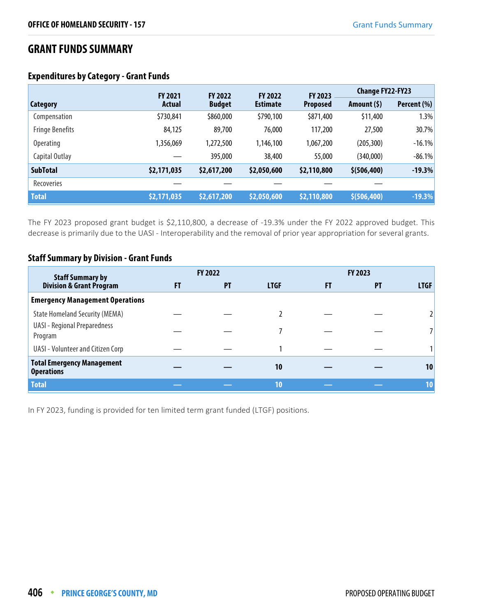# **GRANT FUNDS SUMMARY**

|                        | <b>FY 2021</b> | <b>FY 2022</b> | <b>FY 2022</b>  | FY 2023         | <b>Change FY22-FY23</b> |             |
|------------------------|----------------|----------------|-----------------|-----------------|-------------------------|-------------|
| Category               | <b>Actual</b>  | <b>Budget</b>  | <b>Estimate</b> | <b>Proposed</b> | Amount $(5)$            | Percent (%) |
| Compensation           | \$730,841      | \$860,000      | \$790,100       | \$871,400       | \$11,400                | 1.3%        |
| <b>Fringe Benefits</b> | 84,125         | 89,700         | 76,000          | 117,200         | 27,500                  | 30.7%       |
| <b>Operating</b>       | 1,356,069      | 1,272,500      | 1,146,100       | 1,067,200       | (205, 300)              | $-16.1%$    |
| Capital Outlay         |                | 395,000        | 38,400          | 55,000          | (340,000)               | $-86.1%$    |
| <b>SubTotal</b>        | \$2,171,035    | \$2,617,200    | \$2,050,600     | \$2,110,800     | \$ (506, 400)           | $-19.3%$    |
| Recoveries             |                |                |                 |                 |                         |             |
| <b>Total</b>           | \$2,171,035    | \$2,617,200    | \$2,050,600     | \$2,110,800     | \$ (506, 400)           | $-19.3%$    |

#### **Expenditures by Category - Grant Funds**

The FY 2023 proposed grant budget is \$2,110,800, a decrease of -19.3% under the FY 2022 approved budget. This decrease is primarily due to the UASI - Interoperability and the removal of prior year appropriation for several grants.

#### **Staff Summary by Division - Grant Funds**

| <b>Staff Summary by</b>                                |    | FY 2022   |             |    | FY 2023   |                 |
|--------------------------------------------------------|----|-----------|-------------|----|-----------|-----------------|
| <b>Division &amp; Grant Program</b>                    | FT | <b>PT</b> | <b>LTGF</b> | FT | <b>PT</b> | <b>LTGF</b>     |
| <b>Emergency Management Operations</b>                 |    |           |             |    |           |                 |
| <b>State Homeland Security (MEMA)</b>                  |    |           |             |    |           |                 |
| <b>UASI - Regional Preparedness</b><br>Program         |    |           |             |    |           |                 |
| UASI - Volunteer and Citizen Corp                      |    |           |             |    |           |                 |
| <b>Total Emergency Management</b><br><b>Operations</b> |    |           | 10          |    |           | 10              |
| <b>Total</b>                                           |    |           | 10          |    |           | 10 <sup>1</sup> |

In FY 2023, funding is provided for ten limited term grant funded (LTGF) positions.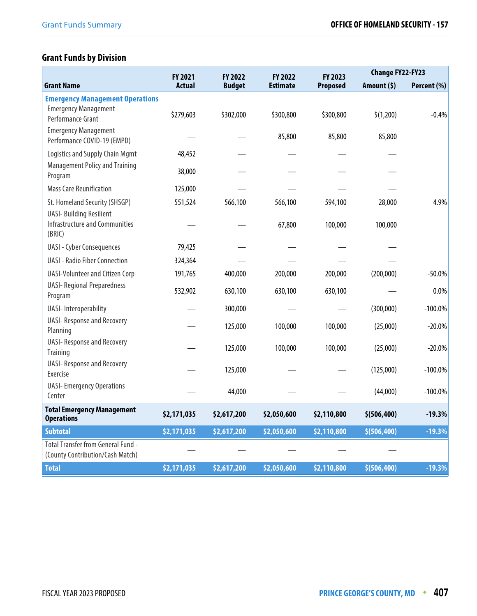# **Grant Funds by Division**

|                                                                                   | FY 2021       | FY 2022       | FY 2022         | FY 2023         | <b>Change FY22-FY23</b> |             |  |
|-----------------------------------------------------------------------------------|---------------|---------------|-----------------|-----------------|-------------------------|-------------|--|
| <b>Grant Name</b>                                                                 | <b>Actual</b> | <b>Budget</b> | <b>Estimate</b> | <b>Proposed</b> | Amount (\$)             | Percent (%) |  |
| <b>Emergency Management Operations</b>                                            |               |               |                 |                 |                         |             |  |
| <b>Emergency Management</b><br>Performance Grant                                  | \$279,603     | \$302,000     | \$300,800       | \$300,800       | \$(1,200)               | $-0.4%$     |  |
| <b>Emergency Management</b><br>Performance COVID-19 (EMPD)                        |               |               | 85,800          | 85,800          | 85,800                  |             |  |
| <b>Logistics and Supply Chain Mgmt</b>                                            | 48,452        |               |                 |                 |                         |             |  |
| <b>Management Policy and Training</b><br>Program                                  | 38,000        |               |                 |                 |                         |             |  |
| <b>Mass Care Reunification</b>                                                    | 125,000       |               |                 |                 |                         |             |  |
| St. Homeland Security (SHSGP)                                                     | 551,524       | 566,100       | 566,100         | 594,100         | 28,000                  | 4.9%        |  |
| <b>UASI-Building Resilient</b><br><b>Infrastructure and Communities</b><br>(BRIC) |               |               | 67,800          | 100,000         | 100,000                 |             |  |
| <b>UASI - Cyber Consequences</b>                                                  | 79,425        |               |                 |                 |                         |             |  |
| <b>UASI - Radio Fiber Connection</b>                                              | 324,364       |               |                 |                 |                         |             |  |
| <b>UASI-Volunteer and Citizen Corp</b>                                            | 191,765       | 400,000       | 200,000         | 200,000         | (200,000)               | $-50.0%$    |  |
| <b>UASI- Regional Preparedness</b><br>Program                                     | 532,902       | 630,100       | 630,100         | 630,100         |                         | 0.0%        |  |
| <b>UASI-Interoperability</b>                                                      |               | 300,000       |                 |                 | (300,000)               | $-100.0%$   |  |
| <b>UASI- Response and Recovery</b><br>Planning                                    |               | 125,000       | 100,000         | 100,000         | (25,000)                | $-20.0%$    |  |
| <b>UASI- Response and Recovery</b><br>Training                                    |               | 125,000       | 100,000         | 100,000         | (25,000)                | $-20.0\%$   |  |
| <b>UASI- Response and Recovery</b><br>Exercise                                    |               | 125,000       |                 |                 | (125,000)               | $-100.0\%$  |  |
| <b>UASI-Emergency Operations</b><br>Center                                        |               | 44,000        |                 |                 | (44,000)                | $-100.0\%$  |  |
| <b>Total Emergency Management</b><br><b>Operations</b>                            | \$2,171,035   | \$2,617,200   | \$2,050,600     | \$2,110,800     | \$ (506, 400)           | $-19.3%$    |  |
| <b>Subtotal</b>                                                                   | \$2,171,035   | \$2,617,200   | \$2,050,600     | \$2,110,800     | \$(506, 400)            | $-19.3%$    |  |
| <b>Total Transfer from General Fund -</b><br>(County Contribution/Cash Match)     |               |               |                 |                 |                         |             |  |
| <b>Total</b>                                                                      | \$2,171,035   | \$2,617,200   | \$2,050,600     | \$2,110,800     | \$(506, 400)            | $-19.3%$    |  |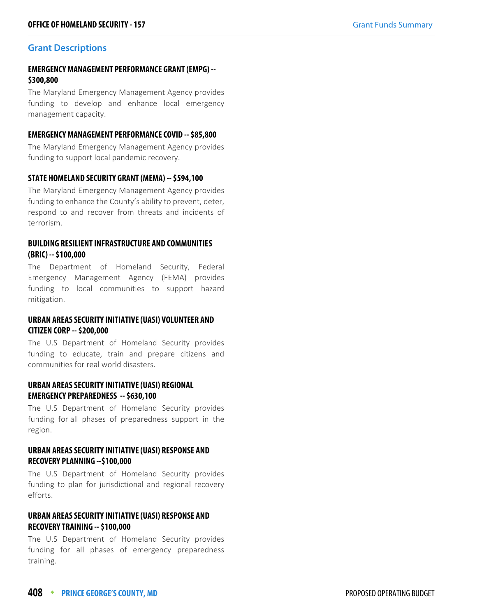#### **Grant Descriptions**

#### **EMERGENCY MANAGEMENT PERFORMANCE GRANT (EMPG) -- \$300,800**

The Maryland Emergency Management Agency provides funding to develop and enhance local emergency management capacity.

#### **EMERGENCY MANAGEMENT PERFORMANCE COVID -- \$85,800**

The Maryland Emergency Management Agency provides funding to support local pandemic recovery.

#### **STATE HOMELAND SECURITY GRANT (MEMA) -- \$594,100**

The Maryland Emergency Management Agency provides funding to enhance the County's ability to prevent, deter, respond to and recover from threats and incidents of terrorism.

#### **BUILDING RESILIENT INFRASTRUCTURE AND COMMUNITIES (BRIC) -- \$100,000**

The Department of Homeland Security, Federal Emergency Management Agency (FEMA) provides funding to local communities to support hazard mitigation.

#### **URBAN AREAS SECURITY INITIATIVE (UASI) VOLUNTEER AND CITIZEN CORP -- \$200,000**

The U.S Department of Homeland Security provides funding to educate, train and prepare citizens and communities for real world disasters.

#### **URBAN AREAS SECURITY INITIATIVE (UASI) REGIONAL EMERGENCY PREPAREDNESS -- \$630,100**

The U.S Department of Homeland Security provides funding for all phases of preparedness support in the region.

#### **URBAN AREAS SECURITY INITIATIVE (UASI) RESPONSE AND RECOVERY PLANNING --\$100,000**

The U.S Department of Homeland Security provides funding to plan for jurisdictional and regional recovery efforts.

#### **URBAN AREAS SECURITY INITIATIVE (UASI) RESPONSE AND RECOVERY TRAINING -- \$100,000**

The U.S Department of Homeland Security provides funding for all phases of emergency preparedness training.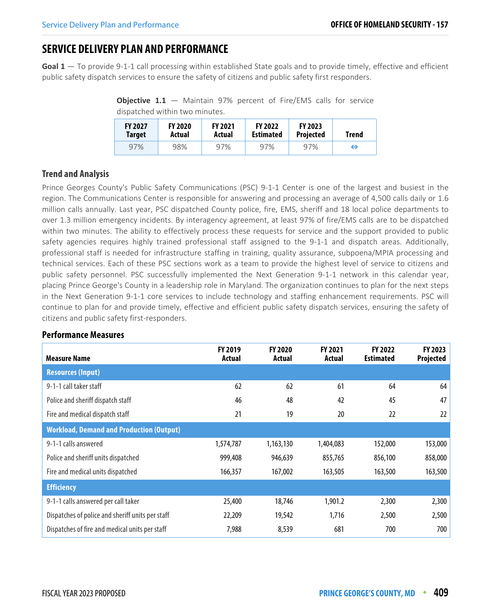# **SERVICE DELIVERY PLAN AND PERFORMANCE**

**Goal 1** — To provide 9-1-1 call processing within established State goals and to provide timely, effective and efficient public safety dispatch services to ensure the safety of citizens and public safety first responders.

**Objective 1.1** – Maintain 97% percent of Fire/EMS calls for service dispatched within two minutes.

| <b>FY 2027</b> | <b>FY 2020</b> | <b>FY 2021</b> | <b>FY 2022</b>   | <b>FY 2023</b>   |   |
|----------------|----------------|----------------|------------------|------------------|---|
| Target         | Actual         | Actual         | <b>Estimated</b> | <b>Projected</b> |   |
| 97%            | 98%            | 97%            | 97%              | 97%              | ⇔ |

#### **Trend and Analysis**

Prince Georges County's Public Safety Communications (PSC) 9-1-1 Center is one of the largest and busiest in the region. The Communications Center is responsible for answering and processing an average of 4,500 calls daily or 1.6 million calls annually. Last year, PSC dispatched County police, fire, EMS, sheriff and 18 local police departments to over 1.3 million emergency incidents. By interagency agreement, at least 97% of fire/EMS calls are to be dispatched within two minutes. The ability to effectively process these requests for service and the support provided to public safety agencies requires highly trained professional staff assigned to the 9-1-1 and dispatch areas. Additionally, professional staff is needed for infrastructure staffing in training, quality assurance, subpoena/MPIA processing and technical services. Each of these PSC sections work as a team to provide the highest level of service to citizens and public safety personnel. PSC successfully implemented the Next Generation 9-1-1 network in this calendar year, placing Prince George's County in a leadership role in Maryland. The organization continues to plan for the next steps in the Next Generation 9-1-1 core services to include technology and staffing enhancement requirements. PSC will continue to plan for and provide timely, effective and efficient public safety dispatch services, ensuring the safety of citizens and public safety first-responders.

#### **Measure Name FY 2019 Actual FY 2020 Actual FY 2021 Actual FY 2022 Estimated FY 2023 Projected Resources (Input)** 9-1-1 call taker staff 62 62 61 64 64 Police and sheriff dispatch staff **47 46** 48 42 45 47 **47** 47 **47** 47 **47** Fire and medical dispatch staff and the control of the control of 21 19 20 22 22 22 22 **Workload, Demand and Production (Output)** 9-1-1 calls answered 1,574,787 1,163,130 1,404,083 152,000 153,000 Police and sheriff units dispatched 1999,408 946,639 855,765 856,100 858,000 Fire and medical units dispatched 166,357 167,002 163,500 163,500 163,500 163,500 **Efficiency** 9-1-1 calls answered per call taker 25,400 18,746 1,901.2 2,300 2,300 Dispatches of police and sheriff units per staff  $22,209$  19,542 1,716 2,500 2,500 2,500 Dispatches of fire and medical units per staff  $\overline{7,988}$   $\overline{8,539}$   $\overline{681}$   $\overline{700}$   $\overline{700}$   $\overline{700}$

#### **Performance Measures**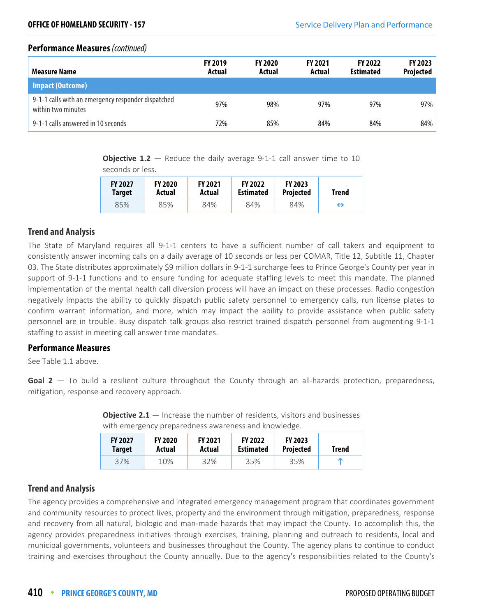#### **Performance Measures** (continued)

| Measure Name                                                             | <b>FY 2019</b><br>Actual | <b>FY 2020</b><br>Actual | <b>FY 2021</b><br>Actual | <b>FY 2022</b><br><b>Estimated</b> | <b>FY 2023</b><br><b>Projected</b> |
|--------------------------------------------------------------------------|--------------------------|--------------------------|--------------------------|------------------------------------|------------------------------------|
| <b>Impact (Outcome)</b>                                                  |                          |                          |                          |                                    |                                    |
| 9-1-1 calls with an emergency responder dispatched<br>within two minutes | 97%                      | 98%                      | 97%                      | 97%                                | 97%                                |
| 9-1-1 calls answered in 10 seconds                                       | 72%                      | 85%                      | 84%                      | 84%                                | 84%                                |

**Objective 1.2** – Reduce the daily average 9-1-1 call answer time to 10 seconds or less.

| <b>FY 2027</b> | <b>FY 2020</b> | <b>FY 2021</b> | <b>FY 2022</b>   | <b>FY 2023</b>   | <b>Trend</b> |
|----------------|----------------|----------------|------------------|------------------|--------------|
| <b>Target</b>  | Actual         | Actual         | <b>Estimated</b> | <b>Projected</b> |              |
| 85%            | 85%            | 84%            | 84%              | 84%              | ⇔            |

#### **Trend and Analysis**

The State of Maryland requires all 9-1-1 centers to have a sufficient number of call takers and equipment to consistently answer incoming calls on a daily average of 10 seconds or less per COMAR, Title 12, Subtitle 11, Chapter 03. The State distributes approximately \$9 million dollars in 9-1-1 surcharge fees to Prince George's County per year in support of 9-1-1 functions and to ensure funding for adequate staffing levels to meet this mandate. The planned implementation of the mental health call diversion process will have an impact on these processes. Radio congestion negatively impacts the ability to quickly dispatch public safety personnel to emergency calls, run license plates to confirm warrant information, and more, which may impact the ability to provide assistance when public safety personnel are in trouble. Busy dispatch talk groups also restrict trained dispatch personnel from augmenting 9-1-1 staffing to assist in meeting call answer time mandates.

#### **Performance Measures**

See Table 1.1 above.

Goal 2 – To build a resilient culture throughout the County through an all-hazards protection, preparedness, mitigation, response and recovery approach.

| <b>FY 2027</b><br>Target | <b>FY 2020</b><br>Actual | <b>FY 2021</b><br>Actual | <b>FY 2022</b><br><b>Estimated</b> | <b>FY 2023</b><br>Projected | <b>Trend</b> |
|--------------------------|--------------------------|--------------------------|------------------------------------|-----------------------------|--------------|
| 37%                      | 10%                      | 32%                      | 35%                                | 35%                         | m            |

**Objective 2.1** — Increase the number of residents, visitors and businesses with emergency preparedness awareness and knowledge.

#### **Trend and Analysis**

The agency provides a comprehensive and integrated emergency management program that coordinates government and community resources to protect lives, property and the environment through mitigation, preparedness, response and recovery from all natural, biologic and man-made hazards that may impact the County. To accomplish this, the agency provides preparedness initiatives through exercises, training, planning and outreach to residents, local and municipal governments, volunteers and businesses throughout the County. The agency plans to continue to conduct training and exercises throughout the County annually. Due to the agency's responsibilities related to the County's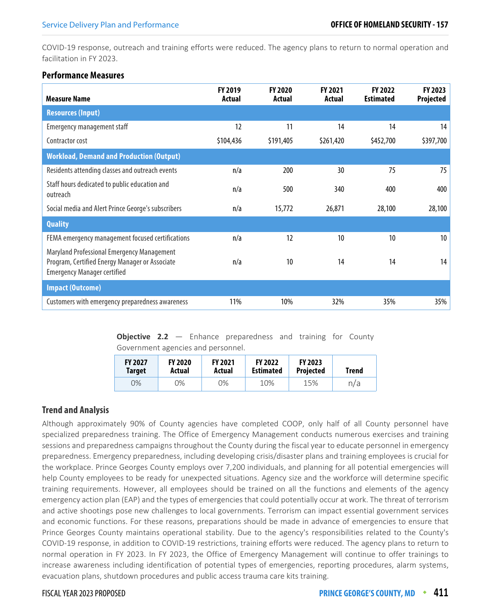COVID-19 response, outreach and training efforts were reduced. The agency plans to return to normal operation and facilitation in FY 2023.

#### **Performance Measures**

| <b>Measure Name</b>                                                                                                                | <b>FY 2019</b><br>Actual | <b>FY 2020</b><br>Actual | <b>FY 2021</b><br>Actual | FY 2022<br><b>Estimated</b> | FY 2023<br>Projected |
|------------------------------------------------------------------------------------------------------------------------------------|--------------------------|--------------------------|--------------------------|-----------------------------|----------------------|
| <b>Resources (Input)</b>                                                                                                           |                          |                          |                          |                             |                      |
| <b>Emergency management staff</b>                                                                                                  | 12                       | 11                       | 14                       | 14                          | 14                   |
| Contractor cost                                                                                                                    | \$104,436                | \$191,405                | \$261,420                | \$452,700                   | \$397,700            |
| <b>Workload, Demand and Production (Output)</b>                                                                                    |                          |                          |                          |                             |                      |
| Residents attending classes and outreach events                                                                                    | n/a                      | 200                      | 30                       | 75                          | 75                   |
| Staff hours dedicated to public education and<br>outreach                                                                          | n/a                      | 500                      | 340                      | 400                         | 400                  |
| Social media and Alert Prince George's subscribers                                                                                 | n/a                      | 15,772                   | 26,871                   | 28,100                      | 28,100               |
| <b>Quality</b>                                                                                                                     |                          |                          |                          |                             |                      |
| FEMA emergency management focused certifications                                                                                   | n/a                      | 12                       | 10                       | 10                          | 10 <sup>°</sup>      |
| Maryland Professional Emergency Management<br>Program, Certified Energy Manager or Associate<br><b>Emergency Manager certified</b> | n/a                      | 10                       | 14                       | 14                          | 14                   |
| <b>Impact (Outcome)</b>                                                                                                            |                          |                          |                          |                             |                      |
| Customers with emergency preparedness awareness                                                                                    | 11%                      | 10%                      | 32%                      | 35%                         | 35%                  |

**Objective 2.2** – Enhance preparedness and training for County Government agencies and personnel.

| <b>FY 2027</b> | <b>FY 2020</b> | <b>FY 2021</b> | <b>FY 2022</b>   | <b>FY 2023</b>   | <b>Trend</b> |
|----------------|----------------|----------------|------------------|------------------|--------------|
| <b>Target</b>  | Actual         | Actual         | <b>Estimated</b> | <b>Projected</b> |              |
| 9%             | 0%             | ጋ%             | 10%              | 15%              | n/a          |

#### **Trend and Analysis**

Although approximately 90% of County agencies have completed COOP, only half of all County personnel have specialized preparedness training. The Office of Emergency Management conducts numerous exercises and training sessions and preparedness campaigns throughout the County during the fiscal year to educate personnel in emergency preparedness. Emergency preparedness, including developing crisis/disaster plans and training employees is crucial for the workplace. Prince Georges County employs over 7,200 individuals, and planning for all potential emergencies will help County employees to be ready for unexpected situations. Agency size and the workforce will determine specific training requirements. However, all employees should be trained on all the functions and elements of the agency emergency action plan (EAP) and the types of emergencies that could potentially occur at work. The threat of terrorism and active shootings pose new challenges to local governments. Terrorism can impact essential government services and economic functions. For these reasons, preparations should be made in advance of emergencies to ensure that Prince Georges County maintains operational stability. Due to the agency's responsibilities related to the County's COVID-19 response, in addition to COVID-19 restrictions, training efforts were reduced. The agency plans to return to normal operation in FY 2023. In FY 2023, the Office of Emergency Management will continue to offer trainings to increase awareness including identification of potential types of emergencies, reporting procedures, alarm systems, evacuation plans, shutdown procedures and public access trauma care kits training.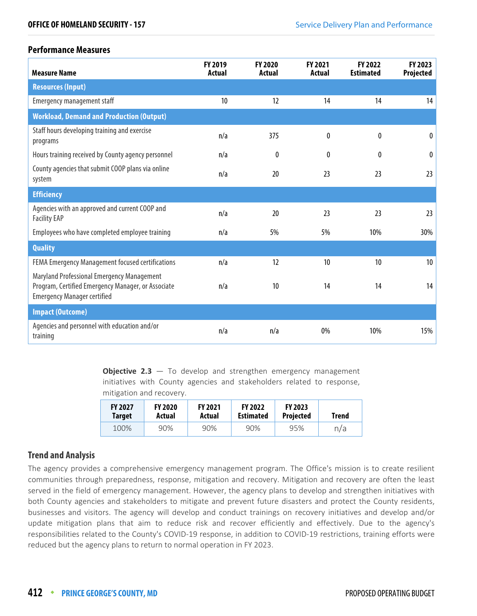#### **Performance Measures**

| <b>Measure Name</b>                                                                                                                    | FY 2019<br><b>Actual</b> | FY 2020<br>Actual | FY 2021<br>Actual | FY 2022<br><b>Estimated</b> | FY 2023<br>Projected |
|----------------------------------------------------------------------------------------------------------------------------------------|--------------------------|-------------------|-------------------|-----------------------------|----------------------|
| <b>Resources (Input)</b>                                                                                                               |                          |                   |                   |                             |                      |
| <b>Emergency management staff</b>                                                                                                      | 10                       | 12                | 14                | 14                          | 14                   |
| <b>Workload, Demand and Production (Output)</b>                                                                                        |                          |                   |                   |                             |                      |
| Staff hours developing training and exercise<br>programs                                                                               | n/a                      | 375               | 0                 | 0                           | $\bf{0}$             |
| Hours training received by County agency personnel                                                                                     | n/a                      | $\theta$          | 0                 | 0                           | $\theta$             |
| County agencies that submit COOP plans via online<br>system                                                                            | n/a                      | 20                | 23                | 23                          | 23                   |
| <b>Efficiency</b>                                                                                                                      |                          |                   |                   |                             |                      |
| Agencies with an approved and current COOP and<br><b>Facility EAP</b>                                                                  | n/a                      | 20                | 23                | 23                          | 23                   |
| Employees who have completed employee training                                                                                         | n/a                      | 5%                | 5%                | 10%                         | 30%                  |
| <b>Quality</b>                                                                                                                         |                          |                   |                   |                             |                      |
| FEMA Emergency Management focused certifications                                                                                       | n/a                      | 12                | 10                | 10                          | 10 <sup>°</sup>      |
| Maryland Professional Emergency Management<br>Program, Certified Emergency Manager, or Associate<br><b>Emergency Manager certified</b> | n/a                      | 10                | 14                | 14                          | 14                   |
| <b>Impact (Outcome)</b>                                                                                                                |                          |                   |                   |                             |                      |
| Agencies and personnel with education and/or<br>training                                                                               | n/a                      | n/a               | 0%                | 10%                         | 15%                  |

**Objective 2.3** – To develop and strengthen emergency management initiatives with County agencies and stakeholders related to response, mitigation and recovery.

| <b>FY 2027</b> | <b>FY 2020</b> | <b>FY 2021</b> | <b>FY 2022</b>   | <b>FY 2023</b>   | Trend |
|----------------|----------------|----------------|------------------|------------------|-------|
| Target         | Actual         | Actual         | <b>Estimated</b> | <b>Projected</b> |       |
| 100%           | 90%            | 90%            | 90%              | 95%              | n/a   |

#### **Trend and Analysis**

The agency provides a comprehensive emergency management program. The Office's mission is to create resilient communities through preparedness, response, mitigation and recovery. Mitigation and recovery are often the least served in the field of emergency management. However, the agency plans to develop and strengthen initiatives with both County agencies and stakeholders to mitigate and prevent future disasters and protect the County residents, businesses and visitors. The agency will develop and conduct trainings on recovery initiatives and develop and/or update mitigation plans that aim to reduce risk and recover efficiently and effectively. Due to the agency's responsibilities related to the County's COVID-19 response, in addition to COVID-19 restrictions, training efforts were reduced but the agency plans to return to normal operation in FY 2023.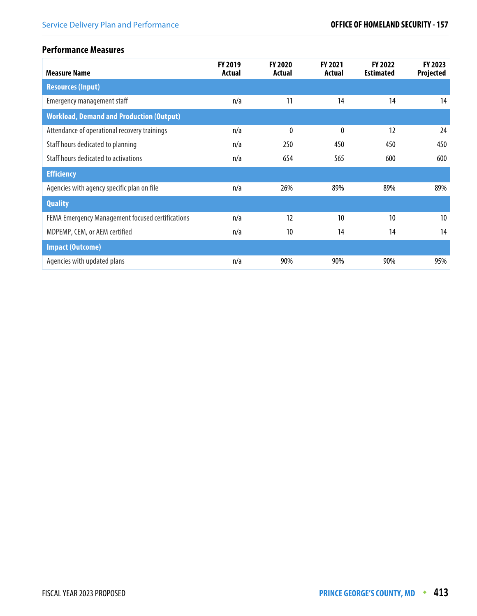#### **Performance Measures**

| <b>Measure Name</b>                              | <b>FY 2019</b><br>Actual | <b>FY 2020</b><br>Actual | FY 2021<br>Actual | FY 2022<br><b>Estimated</b> | FY 2023<br>Projected |
|--------------------------------------------------|--------------------------|--------------------------|-------------------|-----------------------------|----------------------|
| <b>Resources (Input)</b>                         |                          |                          |                   |                             |                      |
| Emergency management staff                       | n/a                      | 11                       | 14                | 14                          | 14                   |
| <b>Workload, Demand and Production (Output)</b>  |                          |                          |                   |                             |                      |
| Attendance of operational recovery trainings     | n/a                      | 0                        | 0                 | 12                          | 24                   |
| Staff hours dedicated to planning                | n/a                      | 250                      | 450               | 450                         | 450                  |
| Staff hours dedicated to activations             | n/a                      | 654                      | 565               | 600                         | 600                  |
| <b>Efficiency</b>                                |                          |                          |                   |                             |                      |
| Agencies with agency specific plan on file       | n/a                      | 26%                      | 89%               | 89%                         | 89%                  |
| <b>Quality</b>                                   |                          |                          |                   |                             |                      |
| FEMA Emergency Management focused certifications | n/a                      | 12                       | 10                | 10                          | 10                   |
| MDPEMP, CEM, or AEM certified                    | n/a                      | 10 <sup>°</sup>          | 14                | 14                          | 14                   |
| <b>Impact (Outcome)</b>                          |                          |                          |                   |                             |                      |
| Agencies with updated plans                      | n/a                      | 90%                      | 90%               | 90%                         | 95%                  |